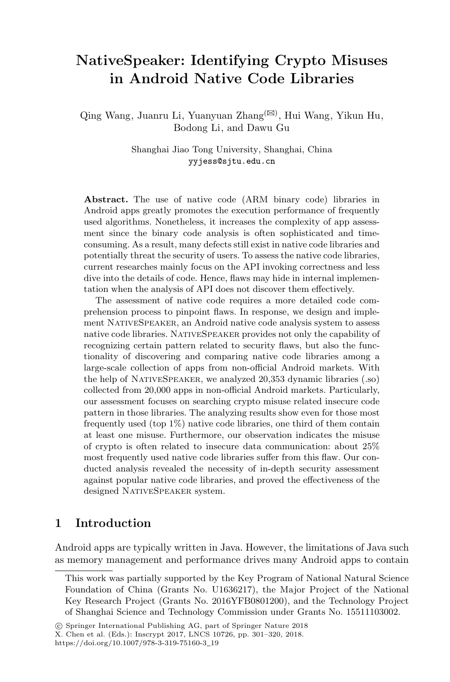# **NativeSpeaker: Identifying Crypto Misuses in Android Native Code Libraries**

Qing Wang, Juanru Li, Yuanyuan Zhang<sup>( $\boxtimes$ )</sup>, Hui Wang, Yikun Hu, Bodong Li, and Dawu Gu

> Shanghai Jiao Tong University, Shanghai, China yyjess@sjtu.edu.cn

**Abstract.** The use of native code (ARM binary code) libraries in Android apps greatly promotes the execution performance of frequently used algorithms. Nonetheless, it increases the complexity of app assessment since the binary code analysis is often sophisticated and timeconsuming. As a result, many defects still exist in native code libraries and potentially threat the security of users. To assess the native code libraries, current researches mainly focus on the API invoking correctness and less dive into the details of code. Hence, flaws may hide in internal implementation when the analysis of API does not discover them effectively.

The assessment of native code requires a more detailed code comprehension process to pinpoint flaws. In response, we design and implement NativeSpeaker, an Android native code analysis system to assess native code libraries. NativeSpeaker provides not only the capability of recognizing certain pattern related to security flaws, but also the functionality of discovering and comparing native code libraries among a large-scale collection of apps from non-official Android markets. With the help of NativeSpeaker, we analyzed 20,353 dynamic libraries (.so) collected from 20,000 apps in non-official Android markets. Particularly, our assessment focuses on searching crypto misuse related insecure code pattern in those libraries. The analyzing results show even for those most frequently used (top 1%) native code libraries, one third of them contain at least one misuse. Furthermore, our observation indicates the misuse of crypto is often related to insecure data communication: about 25% most frequently used native code libraries suffer from this flaw. Our conducted analysis revealed the necessity of in-depth security assessment against popular native code libraries, and proved the effectiveness of the designed NATIVESPEAKER system.

### **1 Introduction**

Android apps are typically written in Java. However, the limitations of Java such as memory management and performance drives many Android apps to contain

This work was partially supported by the Key Program of National Natural Science Foundation of China (Grants No. U1636217), the Major Project of the National Key Research Project (Grants No. 2016YFB0801200), and the Technology Project of Shanghai Science and Technology Commission under Grants No. 15511103002.

<sup>-</sup>c Springer International Publishing AG, part of Springer Nature 2018

X. Chen et al. (Eds.): Inscrypt 2017, LNCS 10726, pp. 301–320, 2018.

https://doi.org/10.1007/978-3-319-75160-3\_19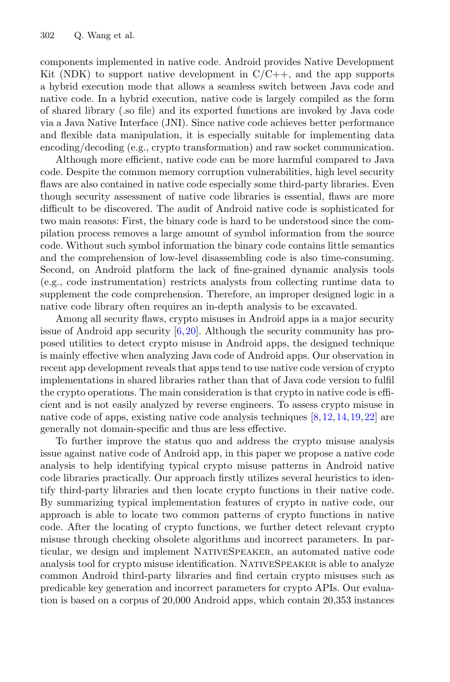components implemented in native code. Android provides Native Development Kit (NDK) to support native development in  $C/C++$ , and the app supports a hybrid execution mode that allows a seamless switch between Java code and native code. In a hybrid execution, native code is largely compiled as the form of shared library (.so file) and its exported functions are invoked by Java code via a Java Native Interface (JNI). Since native code achieves better performance and flexible data manipulation, it is especially suitable for implementing data encoding/decoding (e.g., crypto transformation) and raw socket communication.

Although more efficient, native code can be more harmful compared to Java code. Despite the common memory corruption vulnerabilities, high level security flaws are also contained in native code especially some third-party libraries. Even though security assessment of native code libraries is essential, flaws are more difficult to be discovered. The audit of Android native code is sophisticated for two main reasons: First, the binary code is hard to be understood since the compilation process removes a large amount of symbol information from the source code. Without such symbol information the binary code contains little semantics and the comprehension of low-level disassembling code is also time-consuming. Second, on Android platform the lack of fine-grained dynamic analysis tools (e.g., code instrumentation) restricts analysts from collecting runtime data to supplement the code comprehension. Therefore, an improper designed logic in a native code library often requires an in-depth analysis to be excavated.

Among all security flaws, crypto misuses in Android apps ia a major security issue of Android app security  $[6,20]$  $[6,20]$  $[6,20]$ . Although the security community has proposed utilities to detect crypto misuse in Android apps, the designed technique is mainly effective when analyzing Java code of Android apps. Our observation in recent app development reveals that apps tend to use native code version of crypto implementations in shared libraries rather than that of Java code version to fulfil the crypto operations. The main consideration is that crypto in native code is efficient and is not easily analyzed by reverse engineers. To assess crypto misuse in native code of apps, existing native code analysis techniques [\[8](#page-18-1),[12,](#page-18-2)[14](#page-18-3)[,19](#page-19-1)[,22](#page-19-2)] are generally not domain-specific and thus are less effective.

To further improve the status quo and address the crypto misuse analysis issue against native code of Android app, in this paper we propose a native code analysis to help identifying typical crypto misuse patterns in Android native code libraries practically. Our approach firstly utilizes several heuristics to identify third-party libraries and then locate crypto functions in their native code. By summarizing typical implementation features of crypto in native code, our approach is able to locate two common patterns of crypto functions in native code. After the locating of crypto functions, we further detect relevant crypto misuse through checking obsolete algorithms and incorrect parameters. In particular, we design and implement NATIVESPEAKER, an automated native code analysis tool for crypto misuse identification. NATIVESPEAKER is able to analyze common Android third-party libraries and find certain crypto misuses such as predicable key generation and incorrect parameters for crypto APIs. Our evaluation is based on a corpus of 20,000 Android apps, which contain 20,353 instances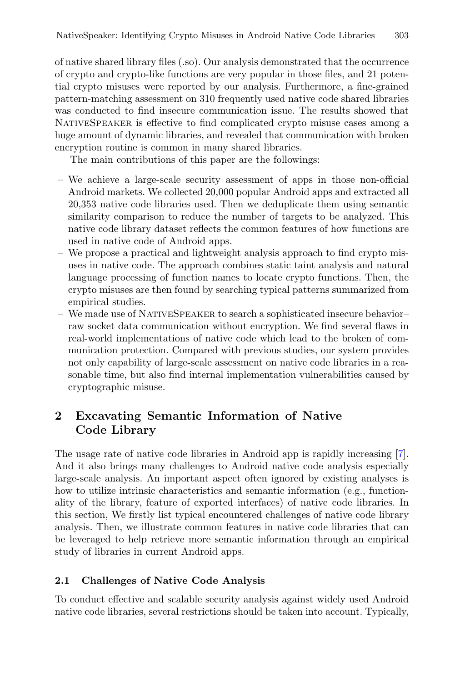of native shared library files (.so). Our analysis demonstrated that the occurrence of crypto and crypto-like functions are very popular in those files, and 21 potential crypto misuses were reported by our analysis. Furthermore, a fine-grained pattern-matching assessment on 310 frequently used native code shared libraries was conducted to find insecure communication issue. The results showed that NativeSpeaker is effective to find complicated crypto misuse cases among a huge amount of dynamic libraries, and revealed that communication with broken encryption routine is common in many shared libraries.

The main contributions of this paper are the followings:

- We achieve a large-scale security assessment of apps in those non-official Android markets. We collected 20,000 popular Android apps and extracted all 20,353 native code libraries used. Then we deduplicate them using semantic similarity comparison to reduce the number of targets to be analyzed. This native code library dataset reflects the common features of how functions are used in native code of Android apps.
- We propose a practical and lightweight analysis approach to find crypto misuses in native code. The approach combines static taint analysis and natural language processing of function names to locate crypto functions. Then, the crypto misuses are then found by searching typical patterns summarized from empirical studies.
- We made use of NativeSpeaker to search a sophisticated insecure behavior– raw socket data communication without encryption. We find several flaws in real-world implementations of native code which lead to the broken of communication protection. Compared with previous studies, our system provides not only capability of large-scale assessment on native code libraries in a reasonable time, but also find internal implementation vulnerabilities caused by cryptographic misuse.

# **2 Excavating Semantic Information of Native Code Library**

The usage rate of native code libraries in Android app is rapidly increasing [\[7\]](#page-18-4). And it also brings many challenges to Android native code analysis especially large-scale analysis. An important aspect often ignored by existing analyses is how to utilize intrinsic characteristics and semantic information (e.g., functionality of the library, feature of exported interfaces) of native code libraries. In this section, We firstly list typical encountered challenges of native code library analysis. Then, we illustrate common features in native code libraries that can be leveraged to help retrieve more semantic information through an empirical study of libraries in current Android apps.

### **2.1 Challenges of Native Code Analysis**

To conduct effective and scalable security analysis against widely used Android native code libraries, several restrictions should be taken into account. Typically,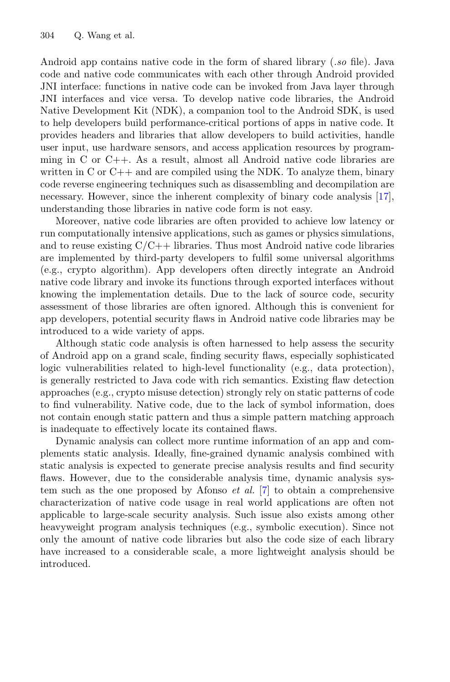Android app contains native code in the form of shared library (*.so* file). Java code and native code communicates with each other through Android provided JNI interface: functions in native code can be invoked from Java layer through JNI interfaces and vice versa. To develop native code libraries, the Android Native Development Kit (NDK), a companion tool to the Android SDK, is used to help developers build performance-critical portions of apps in native code. It provides headers and libraries that allow developers to build activities, handle user input, use hardware sensors, and access application resources by programming in C or C++. As a result, almost all Android native code libraries are written in C or  $C_{++}$  and are compiled using the NDK. To analyze them, binary code reverse engineering techniques such as disassembling and decompilation are necessary. However, since the inherent complexity of binary code analysis [\[17\]](#page-18-5), understanding those libraries in native code form is not easy.

Moreover, native code libraries are often provided to achieve low latency or run computationally intensive applications, such as games or physics simulations, and to reuse existing  $C/C++$  libraries. Thus most Android native code libraries are implemented by third-party developers to fulfil some universal algorithms (e.g., crypto algorithm). App developers often directly integrate an Android native code library and invoke its functions through exported interfaces without knowing the implementation details. Due to the lack of source code, security assessment of those libraries are often ignored. Although this is convenient for app developers, potential security flaws in Android native code libraries may be introduced to a wide variety of apps.

Although static code analysis is often harnessed to help assess the security of Android app on a grand scale, finding security flaws, especially sophisticated logic vulnerabilities related to high-level functionality (e.g., data protection), is generally restricted to Java code with rich semantics. Existing flaw detection approaches (e.g., crypto misuse detection) strongly rely on static patterns of code to find vulnerability. Native code, due to the lack of symbol information, does not contain enough static pattern and thus a simple pattern matching approach is inadequate to effectively locate its contained flaws.

Dynamic analysis can collect more runtime information of an app and complements static analysis. Ideally, fine-grained dynamic analysis combined with static analysis is expected to generate precise analysis results and find security flaws. However, due to the considerable analysis time, dynamic analysis system such as the one proposed by Afonso *et al.* [\[7\]](#page-18-4) to obtain a comprehensive characterization of native code usage in real world applications are often not applicable to large-scale security analysis. Such issue also exists among other heavyweight program analysis techniques (e.g., symbolic execution). Since not only the amount of native code libraries but also the code size of each library have increased to a considerable scale, a more lightweight analysis should be introduced.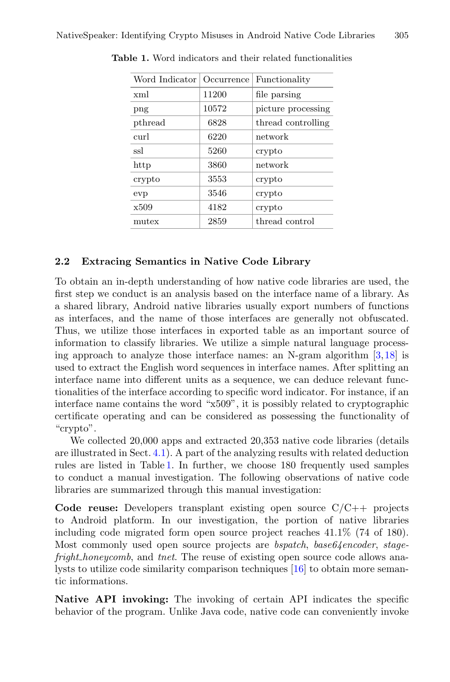<span id="page-4-0"></span>

| Word Indicator | Occurrence | Functionality      |
|----------------|------------|--------------------|
| xml            | 11200      | file parsing       |
| png            | 10572      | picture processing |
| pthread        | 6828       | thread controlling |
| curl           | 6220       | network            |
| ssl            | 5260       | crypto             |
| http           | 3860       | network            |
| crypto         | 3553       | crypto             |
| evp            | 3546       | crypto             |
| x509           | 4182       | crypto             |
| mutex          | 2859       | thread control     |

**Table 1.** Word indicators and their related functionalities

#### **2.2 Extracing Semantics in Native Code Library**

To obtain an in-depth understanding of how native code libraries are used, the first step we conduct is an analysis based on the interface name of a library. As a shared library, Android native libraries usually export numbers of functions as interfaces, and the name of those interfaces are generally not obfuscated. Thus, we utilize those interfaces in exported table as an important source of information to classify libraries. We utilize a simple natural language processing approach to analyze those interface names: an N-gram algorithm [\[3](#page-18-6),[18\]](#page-19-3) is used to extract the English word sequences in interface names. After splitting an interface name into different units as a sequence, we can deduce relevant functionalities of the interface according to specific word indicator. For instance, if an interface name contains the word "x509", it is possibly related to cryptographic certificate operating and can be considered as possessing the functionality of "crypto".

We collected 20,000 apps and extracted 20,353 native code libraries (details are illustrated in Sect. [4.1\)](#page-11-0). A part of the analyzing results with related deduction rules are listed in Table [1.](#page-4-0) In further, we choose 180 frequently used samples to conduct a manual investigation. The following observations of native code libraries are summarized through this manual investigation:

**Code reuse:** Developers transplant existing open source C/C++ projects to Android platform. In our investigation, the portion of native libraries including code migrated form open source project reaches 41.1% (74 of 180). Most commonly used open source projects are *bspatch*, *base64encoder*, *stagefright honeycomb*, and *tnet*. The reuse of existing open source code allows analysts to utilize code similarity comparison techniques [\[16\]](#page-18-7) to obtain more semantic informations.

**Native API invoking:** The invoking of certain API indicates the specific behavior of the program. Unlike Java code, native code can conveniently invoke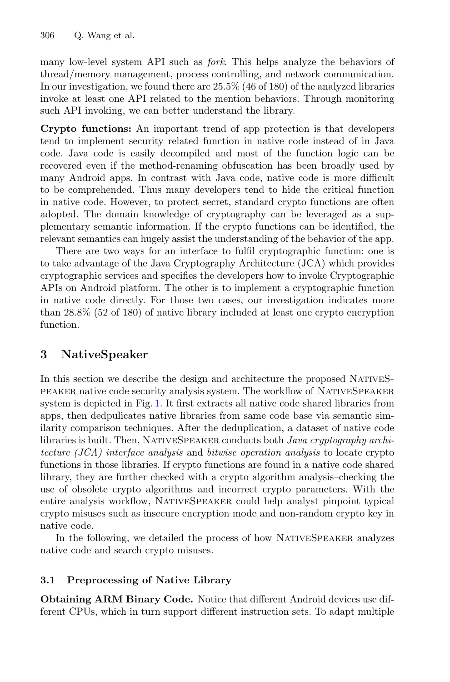many low-level system API such as *fork*. This helps analyze the behaviors of thread/memory management, process controlling, and network communication. In our investigation, we found there are 25.5% (46 of 180) of the analyzed libraries invoke at least one API related to the mention behaviors. Through monitoring such API invoking, we can better understand the library.

**Crypto functions:** An important trend of app protection is that developers tend to implement security related function in native code instead of in Java code. Java code is easily decompiled and most of the function logic can be recovered even if the method-renaming obfuscation has been broadly used by many Android apps. In contrast with Java code, native code is more difficult to be comprehended. Thus many developers tend to hide the critical function in native code. However, to protect secret, standard crypto functions are often adopted. The domain knowledge of cryptography can be leveraged as a supplementary semantic information. If the crypto functions can be identified, the relevant semantics can hugely assist the understanding of the behavior of the app.

There are two ways for an interface to fulfil cryptographic function: one is to take advantage of the Java Cryptography Architecture (JCA) which provides cryptographic services and specifies the developers how to invoke Cryptographic APIs on Android platform. The other is to implement a cryptographic function in native code directly. For those two cases, our investigation indicates more than 28.8% (52 of 180) of native library included at least one crypto encryption function.

# **3 NativeSpeaker**

In this section we describe the design and architecture the proposed NATIVESpeaker native code security analysis system. The workflow of NativeSpeaker system is depicted in Fig. [1.](#page-6-0) It first extracts all native code shared libraries from apps, then dedpulicates native libraries from same code base via semantic similarity comparison techniques. After the deduplication, a dataset of native code libraries is built. Then, NativeSpeaker conducts both *Java cryptography architecture (JCA) interface analysis* and *bitwise operation analysis* to locate crypto functions in those libraries. If crypto functions are found in a native code shared library, they are further checked with a crypto algorithm analysis–checking the use of obsolete crypto algorithms and incorrect crypto parameters. With the entire analysis workflow, NativeSpeaker could help analyst pinpoint typical crypto misuses such as insecure encryption mode and non-random crypto key in native code.

In the following, we detailed the process of how NATIVESPEAKER analyzes native code and search crypto misuses.

### **3.1 Preprocessing of Native Library**

**Obtaining ARM Binary Code.** Notice that different Android devices use different CPUs, which in turn support different instruction sets. To adapt multiple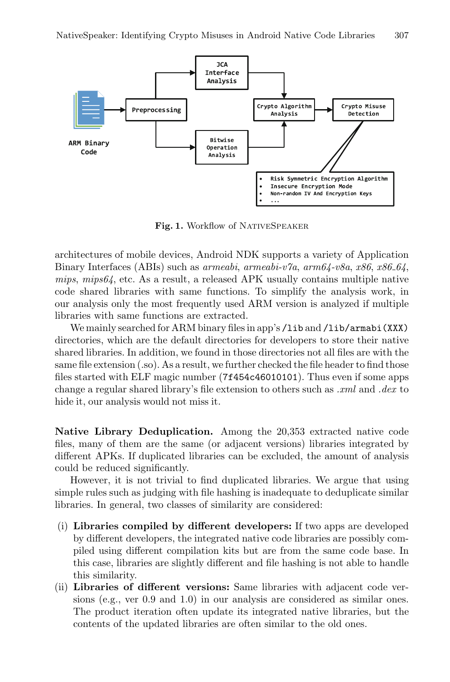

<span id="page-6-0"></span>Fig. 1. Workflow of NATIVESPEAKER

architectures of mobile devices, Android NDK supports a variety of Application Binary Interfaces (ABIs) such as *armeabi*, *armeabi-v7a*, *arm64-v8a*, *x86*, *x86 64*, *mips, mips64*, etc. As a result, a released APK usually contains multiple native code shared libraries with same functions. To simplify the analysis work, in our analysis only the most frequently used ARM version is analyzed if multiple libraries with same functions are extracted.

We mainly searched for ARM binary files in app's /lib and /lib/armabi(XXX) directories, which are the default directories for developers to store their native shared libraries. In addition, we found in those directories not all files are with the same file extension (.so). As a result, we further checked the file header to find those files started with ELF magic number (7f454c46010101). Thus even if some apps change a regular shared library's file extension to others such as *.xml* and *.dex* to hide it, our analysis would not miss it.

**Native Library Deduplication.** Among the 20,353 extracted native code files, many of them are the same (or adjacent versions) libraries integrated by different APKs. If duplicated libraries can be excluded, the amount of analysis could be reduced significantly.

However, it is not trivial to find duplicated libraries. We argue that using simple rules such as judging with file hashing is inadequate to deduplicate similar libraries. In general, two classes of similarity are considered:

- (i) **Libraries compiled by different developers:** If two apps are developed by different developers, the integrated native code libraries are possibly compiled using different compilation kits but are from the same code base. In this case, libraries are slightly different and file hashing is not able to handle this similarity.
- (ii) **Libraries of different versions:** Same libraries with adjacent code versions (e.g., ver 0.9 and 1.0) in our analysis are considered as similar ones. The product iteration often update its integrated native libraries, but the contents of the updated libraries are often similar to the old ones.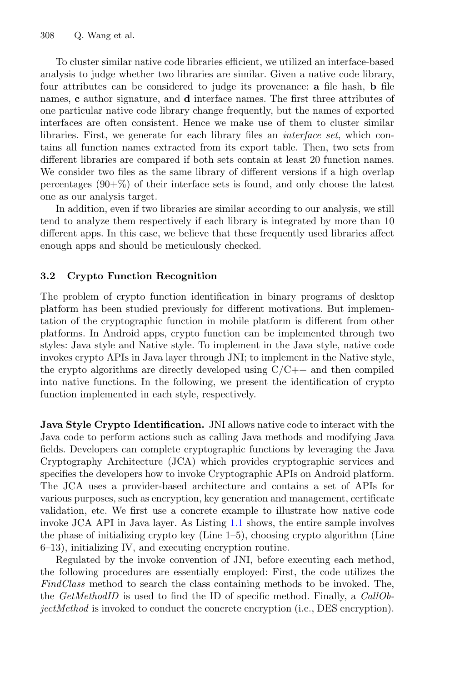To cluster similar native code libraries efficient, we utilized an interface-based analysis to judge whether two libraries are similar. Given a native code library, four attributes can be considered to judge its provenance: **a** file hash, **b** file names, **c** author signature, and **d** interface names. The first three attributes of one particular native code library change frequently, but the names of exported interfaces are often consistent. Hence we make use of them to cluster similar libraries. First, we generate for each library files an *interface set*, which contains all function names extracted from its export table. Then, two sets from different libraries are compared if both sets contain at least 20 function names. We consider two files as the same library of different versions if a high overlap percentages  $(90+\%)$  of their interface sets is found, and only choose the latest one as our analysis target.

In addition, even if two libraries are similar according to our analysis, we still tend to analyze them respectively if each library is integrated by more than 10 different apps. In this case, we believe that these frequently used libraries affect enough apps and should be meticulously checked.

### **3.2 Crypto Function Recognition**

The problem of crypto function identification in binary programs of desktop platform has been studied previously for different motivations. But implementation of the cryptographic function in mobile platform is different from other platforms. In Android apps, crypto function can be implemented through two styles: Java style and Native style. To implement in the Java style, native code invokes crypto APIs in Java layer through JNI; to implement in the Native style, the crypto algorithms are directly developed using  $C/C++$  and then compiled into native functions. In the following, we present the identification of crypto function implemented in each style, respectively.

**Java Style Crypto Identification.** JNI allows native code to interact with the Java code to perform actions such as calling Java methods and modifying Java fields. Developers can complete cryptographic functions by leveraging the Java Cryptography Architecture (JCA) which provides cryptographic services and specifies the developers how to invoke Cryptographic APIs on Android platform. The JCA uses a provider-based architecture and contains a set of APIs for various purposes, such as encryption, key generation and management, certificate validation, etc. We first use a concrete example to illustrate how native code invoke JCA API in Java layer. As Listing [1.1](#page-8-0) shows, the entire sample involves the phase of initializing crypto key (Line 1–5), choosing crypto algorithm (Line 6–13), initializing IV, and executing encryption routine.

Regulated by the invoke convention of JNI, before executing each method, the following procedures are essentially employed: First, the code utilizes the *FindClass* method to search the class containing methods to be invoked. The, the *GetMethodID* is used to find the ID of specific method. Finally, a *CallObjectMethod* is invoked to conduct the concrete encryption (i.e., DES encryption).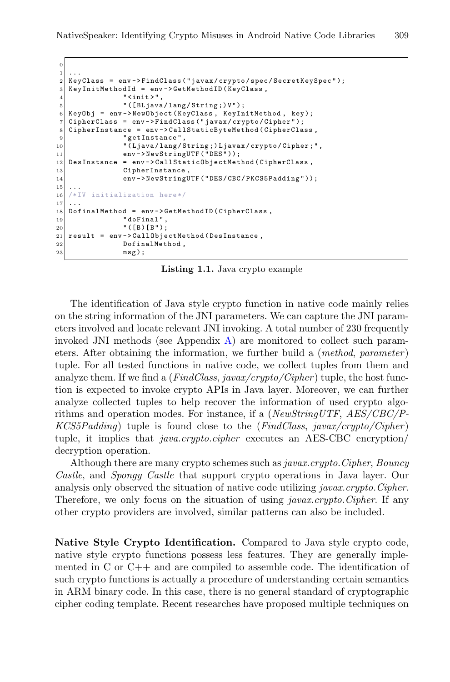```
\Omega1 ...
2 KeyClass = env ->FindClass ("javax/crypto/ spec/ SecretKeySpec");
 3 KeyInitMethodId = env ->GetMethodID(KeyClass,<br>"sinit>".
                       4 "<init >",
 5 \begin{bmatrix} 5 \\ 6 \end{bmatrix} KevObi = env->NewObiect(KevClass, KevIn
 6 KeyObj = env ->NewObject (KeyClass, KeyInitMethod, key);<br>7 CinherClass = env ->FindClass ("iavax/crypto/Cinher");
 7 CipherClass = env ->FindClass ("javax/crypto/Cipher");
    CipherInstance = env -&CallStaticByteMethod (CipherClass,\begin{array}{c|c}\n 9 & \text{``getInstance''} \\
 \hline\n 10 & \text{''(Liava/lanø)}\n \end{array}10 "\tilde{L}java/lang/String;)Ljava/crypto/Cipher;",<br>11 env->NewStringUTF("DES")):
                       env->NewStringUTF("DES"));
12 DesInstance = env->CallStaticObjectMethod(CipherClass,<br>13 CipherInstance.
13 CipherInstance,<br>
14 CipherInstance,<br>
14 CipherInstance,
                       env->NewStringUTF("DES/CBC/PKCS5Padding"));
15
16 /*IV initialization here*/
\frac{17}{18}18 DofinalMethod = env -> GetMethodID(CipherClass,<br>
19<br>
\frac{1}{19}"doFinal",
\begin{bmatrix} 20 \\ 21 \end{bmatrix} result = env->CallObje
   21 result = env -> CallObjectMethod( DesInstance ,
\begin{array}{c|c}\n 22 & \text{DofinalMethod,} \\
 23 & \text{msg} \end{array}msg);
```
**Listing 1.1.** Java crypto example

The identification of Java style crypto function in native code mainly relies on the string information of the JNI parameters. We can capture the JNI parameters involved and locate relevant JNI invoking. A total number of 230 frequently invoked JNI methods (see Appendix [A\)](#page-17-0) are monitored to collect such parameters. After obtaining the information, we further build a (*method*, *parameter* ) tuple. For all tested functions in native code, we collect tuples from them and analyze them. If we find a (*FindClass*, *javax/crypto/Cipher* ) tuple, the host function is expected to invoke crypto APIs in Java layer. Moreover, we can further analyze collected tuples to help recover the information of used crypto algorithms and operation modes. For instance, if a (*NewStringUTF*, *AES/CBC/P-KCS5Padding*) tuple is found close to the (*FindClass*, *javax/crypto/Cipher* ) tuple, it implies that *java.crypto.cipher* executes an AES-CBC encryption/ decryption operation.

Although there are many crypto schemes such as *javax.crypto.Cipher*, *Bouncy Castle*, and *Spongy Castle* that support crypto operations in Java layer. Our analysis only observed the situation of native code utilizing *javax.crypto.Cipher*. Therefore, we only focus on the situation of using *javax.crypto.Cipher*. If any other crypto providers are involved, similar patterns can also be included.

**Native Style Crypto Identification.** Compared to Java style crypto code, native style crypto functions possess less features. They are generally implemented in C or C++ and are compiled to assemble code. The identification of such crypto functions is actually a procedure of understanding certain semantics in ARM binary code. In this case, there is no general standard of cryptographic cipher coding template. Recent researches have proposed multiple techniques on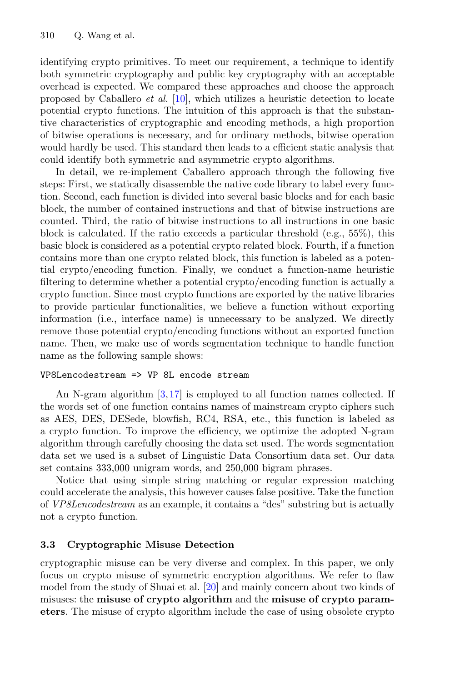identifying crypto primitives. To meet our requirement, a technique to identify both symmetric cryptography and public key cryptography with an acceptable overhead is expected. We compared these approaches and choose the approach proposed by Caballero *et al.* [\[10\]](#page-18-8), which utilizes a heuristic detection to locate potential crypto functions. The intuition of this approach is that the substantive characteristics of cryptographic and encoding methods, a high proportion of bitwise operations is necessary, and for ordinary methods, bitwise operation would hardly be used. This standard then leads to a efficient static analysis that could identify both symmetric and asymmetric crypto algorithms.

In detail, we re-implement Caballero approach through the following five steps: First, we statically disassemble the native code library to label every function. Second, each function is divided into several basic blocks and for each basic block, the number of contained instructions and that of bitwise instructions are counted. Third, the ratio of bitwise instructions to all instructions in one basic block is calculated. If the ratio exceeds a particular threshold (e.g., 55%), this basic block is considered as a potential crypto related block. Fourth, if a function contains more than one crypto related block, this function is labeled as a potential crypto/encoding function. Finally, we conduct a function-name heuristic filtering to determine whether a potential crypto/encoding function is actually a crypto function. Since most crypto functions are exported by the native libraries to provide particular functionalities, we believe a function without exporting information (i.e., interface name) is unnecessary to be analyzed. We directly remove those potential crypto/encoding functions without an exported function name. Then, we make use of words segmentation technique to handle function name as the following sample shows:

#### VP8Lencodestream => VP 8L encode stream

An N-gram algorithm  $[3,17]$  $[3,17]$  $[3,17]$  is employed to all function names collected. If the words set of one function contains names of mainstream crypto ciphers such as AES, DES, DESede, blowfish, RC4, RSA, etc., this function is labeled as a crypto function. To improve the efficiency, we optimize the adopted N-gram algorithm through carefully choosing the data set used. The words segmentation data set we used is a subset of Linguistic Data Consortium data set. Our data set contains 333,000 unigram words, and 250,000 bigram phrases.

Notice that using simple string matching or regular expression matching could accelerate the analysis, this however causes false positive. Take the function of *VP8Lencodestream* as an example, it contains a "des" substring but is actually not a crypto function.

### **3.3 Cryptographic Misuse Detection**

cryptographic misuse can be very diverse and complex. In this paper, we only focus on crypto misuse of symmetric encryption algorithms. We refer to flaw model from the study of Shuai et al. [\[20](#page-19-0)] and mainly concern about two kinds of misuses: the **misuse of crypto algorithm** and the **misuse of crypto parameters**. The misuse of crypto algorithm include the case of using obsolete crypto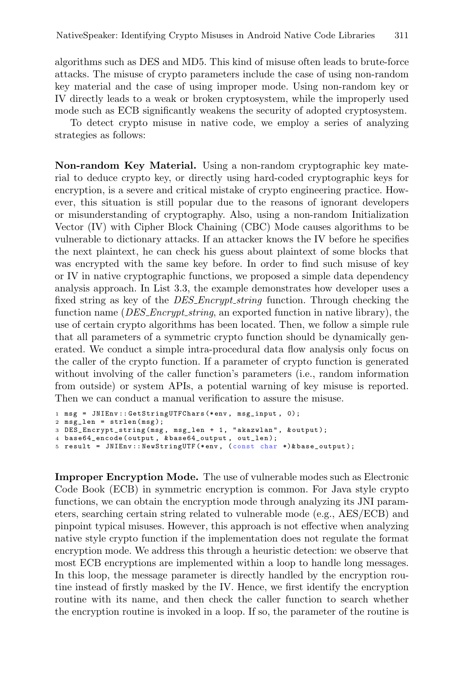algorithms such as DES and MD5. This kind of misuse often leads to brute-force attacks. The misuse of crypto parameters include the case of using non-random key material and the case of using improper mode. Using non-random key or IV directly leads to a weak or broken cryptosystem, while the improperly used mode such as ECB significantly weakens the security of adopted cryptosystem.

To detect crypto misuse in native code, we employ a series of analyzing strategies as follows:

**Non-random Key Material.** Using a non-random cryptographic key material to deduce crypto key, or directly using hard-coded cryptographic keys for encryption, is a severe and critical mistake of crypto engineering practice. However, this situation is still popular due to the reasons of ignorant developers or misunderstanding of cryptography. Also, using a non-random Initialization Vector (IV) with Cipher Block Chaining (CBC) Mode causes algorithms to be vulnerable to dictionary attacks. If an attacker knows the IV before he specifies the next plaintext, he can check his guess about plaintext of some blocks that was encrypted with the same key before. In order to find such misuse of key or IV in native cryptographic functions, we proposed a simple data dependency analysis approach. In List 3.3, the example demonstrates how developer uses a fixed string as key of the *DES Encrypt string* function. Through checking the function name (*DES Encrypt string*, an exported function in native library), the use of certain crypto algorithms has been located. Then, we follow a simple rule that all parameters of a symmetric crypto function should be dynamically generated. We conduct a simple intra-procedural data flow analysis only focus on the caller of the crypto function. If a parameter of crypto function is generated without involving of the caller function's parameters (i.e., random information from outside) or system APIs, a potential warning of key misuse is reported. Then we can conduct a manual verification to assure the misuse.

```
1 msg = JNIEnv:: GetStringUTFChars(*env , msg_input , 0);
2 msg_len = strlen(msg);
3 DES_Encrypt_string(msg , msg_len + 1, "akazwlan", &output);
4 base64_encode( output , & base64_output , out_len);
5 result = JNIEnv:: NewStringUTF(*env , ( const char *)&base_output);
```
**Improper Encryption Mode.** The use of vulnerable modes such as Electronic Code Book (ECB) in symmetric encryption is common. For Java style crypto functions, we can obtain the encryption mode through analyzing its JNI parameters, searching certain string related to vulnerable mode (e.g., AES/ECB) and pinpoint typical misuses. However, this approach is not effective when analyzing native style crypto function if the implementation does not regulate the format encryption mode. We address this through a heuristic detection: we observe that most ECB encryptions are implemented within a loop to handle long messages. In this loop, the message parameter is directly handled by the encryption routine instead of firstly masked by the IV. Hence, we first identify the encryption routine with its name, and then check the caller function to search whether the encryption routine is invoked in a loop. If so, the parameter of the routine is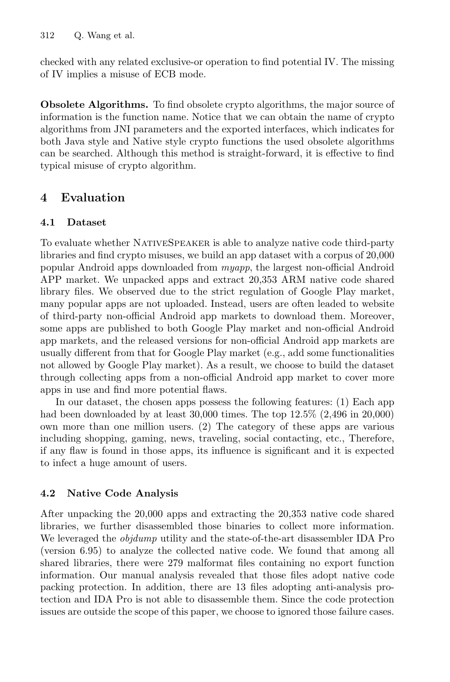checked with any related exclusive-or operation to find potential IV. The missing of IV implies a misuse of ECB mode.

**Obsolete Algorithms.** To find obsolete crypto algorithms, the major source of information is the function name. Notice that we can obtain the name of crypto algorithms from JNI parameters and the exported interfaces, which indicates for both Java style and Native style crypto functions the used obsolete algorithms can be searched. Although this method is straight-forward, it is effective to find typical misuse of crypto algorithm.

## **4 Evaluation**

### <span id="page-11-0"></span>**4.1 Dataset**

To evaluate whether NativeSpeaker is able to analyze native code third-party libraries and find crypto misuses, we build an app dataset with a corpus of 20,000 popular Android apps downloaded from *myapp*, the largest non-official Android APP market. We unpacked apps and extract 20,353 ARM native code shared library files. We observed due to the strict regulation of Google Play market, many popular apps are not uploaded. Instead, users are often leaded to website of third-party non-official Android app markets to download them. Moreover, some apps are published to both Google Play market and non-official Android app markets, and the released versions for non-official Android app markets are usually different from that for Google Play market (e.g., add some functionalities not allowed by Google Play market). As a result, we choose to build the dataset through collecting apps from a non-official Android app market to cover more apps in use and find more potential flaws.

In our dataset, the chosen apps possess the following features: (1) Each app had been downloaded by at least 30,000 times. The top  $12.5\%$  (2,496 in 20,000) own more than one million users. (2) The category of these apps are various including shopping, gaming, news, traveling, social contacting, etc., Therefore, if any flaw is found in those apps, its influence is significant and it is expected to infect a huge amount of users.

### **4.2 Native Code Analysis**

After unpacking the 20,000 apps and extracting the 20,353 native code shared libraries, we further disassembled those binaries to collect more information. We leveraged the *objdump* utility and the state-of-the-art disassembler IDA Pro (version 6.95) to analyze the collected native code. We found that among all shared libraries, there were 279 malformat files containing no export function information. Our manual analysis revealed that those files adopt native code packing protection. In addition, there are 13 files adopting anti-analysis protection and IDA Pro is not able to disassemble them. Since the code protection issues are outside the scope of this paper, we choose to ignored those failure cases.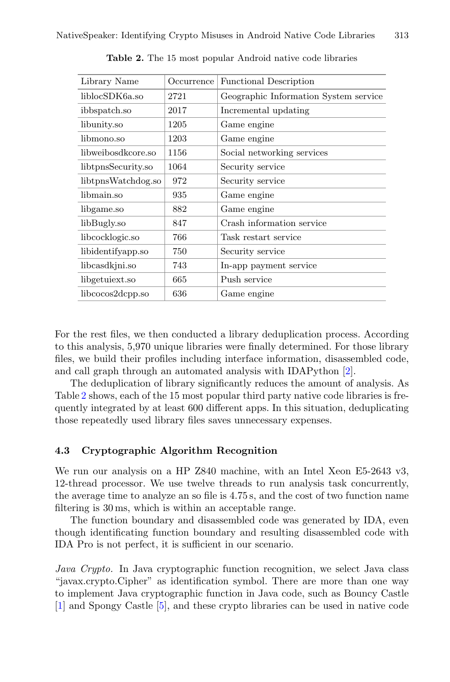| Library Name       | Occurrence | <b>Functional Description</b>         |
|--------------------|------------|---------------------------------------|
| liblocSDK6a.so     | 2721       | Geographic Information System service |
| ibbspatch.so       | 2017       | Incremental updating                  |
| libunity.so        | 1205       | Game engine                           |
| libmono.so         | 1203       | Game engine                           |
| libweibosdkcore.so | 1156       | Social networking services            |
| libtpnsSecurity.so | 1064       | Security service                      |
| libtpnsWatchdog.so | 972        | Security service                      |
| libmain.so         | 935        | Game engine                           |
| libgame.so         | 882        | Game engine                           |
| libBugly.so        | 847        | Crash information service             |
| libcocklogic.so    | 766        | Task restart service                  |
| libidentifyapp.so  | 750        | Security service                      |
| libcasdkjni.so     | 743        | In-app payment service                |
| libgetuiext.so     | 665        | Push service                          |
| libcocos2dcpp.so   | 636        | Game engine                           |

<span id="page-12-0"></span>**Table 2.** The 15 most popular Android native code libraries

For the rest files, we then conducted a library deduplication process. According to this analysis, 5,970 unique libraries were finally determined. For those library files, we build their profiles including interface information, disassembled code, and call graph through an automated analysis with IDAPython [\[2](#page-18-9)].

The deduplication of library significantly reduces the amount of analysis. As Table [2](#page-12-0) shows, each of the 15 most popular third party native code libraries is frequently integrated by at least 600 different apps. In this situation, deduplicating those repeatedly used library files saves unnecessary expenses.

#### **4.3 Cryptographic Algorithm Recognition**

We run our analysis on a HP Z840 machine, with an Intel Xeon E5-2643 v3, 12-thread processor. We use twelve threads to run analysis task concurrently, the average time to analyze an so file is 4.75 s, and the cost of two function name filtering is 30 ms, which is within an acceptable range.

The function boundary and disassembled code was generated by IDA, even though identificating function boundary and resulting disassembled code with IDA Pro is not perfect, it is sufficient in our scenario.

*Java Crypto.* In Java cryptographic function recognition, we select Java class "javax.crypto.Cipher" as identification symbol. There are more than one way to implement Java cryptographic function in Java code, such as Bouncy Castle [\[1](#page-18-10)] and Spongy Castle [\[5](#page-18-11)], and these crypto libraries can be used in native code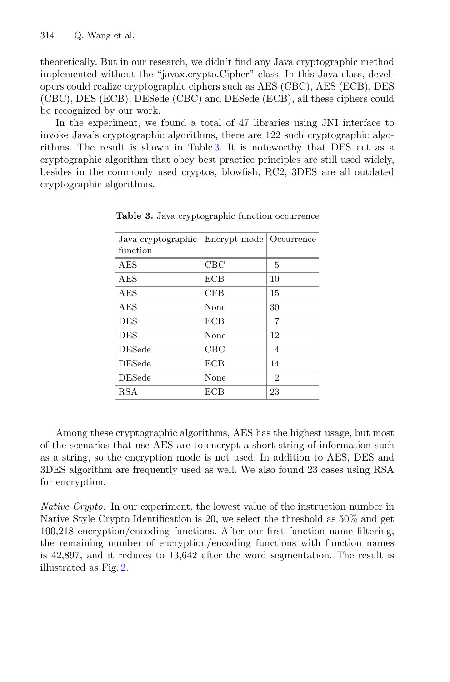theoretically. But in our research, we didn't find any Java cryptographic method implemented without the "javax.crypto.Cipher" class. In this Java class, developers could realize cryptographic ciphers such as AES (CBC), AES (ECB), DES (CBC), DES (ECB), DESede (CBC) and DESede (ECB), all these ciphers could be recognized by our work.

In the experiment, we found a total of 47 libraries using JNI interface to invoke Java's cryptographic algorithms, there are 122 such cryptographic algorithms. The result is shown in Table [3.](#page-13-0) It is noteworthy that DES act as a cryptographic algorithm that obey best practice principles are still used widely, besides in the commonly used cryptos, blowfish, RC2, 3DES are all outdated cryptographic algorithms.

| Java cryptographic<br>function | Encrypt mode | Occurrence     |
|--------------------------------|--------------|----------------|
| AES                            | CBC          | 5              |
| AES                            | <b>ECB</b>   | 10             |
| AES                            | <b>CFB</b>   | 15             |
| AES                            | None         | 30             |
| <b>DES</b>                     | <b>ECB</b>   | 7              |
| <b>DES</b>                     | None         | 12             |
| <b>DESede</b>                  | CBC          | 4              |
| <b>DESede</b>                  | ECB          | 14             |
| <b>DESede</b>                  | None         | $\overline{2}$ |
| <b>RSA</b>                     | ECB          | 23             |

<span id="page-13-0"></span>**Table 3.** Java cryptographic function occurrence

Among these cryptographic algorithms, AES has the highest usage, but most of the scenarios that use AES are to encrypt a short string of information such as a string, so the encryption mode is not used. In addition to AES, DES and 3DES algorithm are frequently used as well. We also found 23 cases using RSA for encryption.

*Native Crypto.* In our experiment, the lowest value of the instruction number in Native Style Crypto Identification is 20, we select the threshold as 50% and get 100,218 encryption/encoding functions. After our first function name filtering, the remaining number of encryption/encoding functions with function names is 42,897, and it reduces to 13,642 after the word segmentation. The result is illustrated as Fig. [2.](#page-14-0)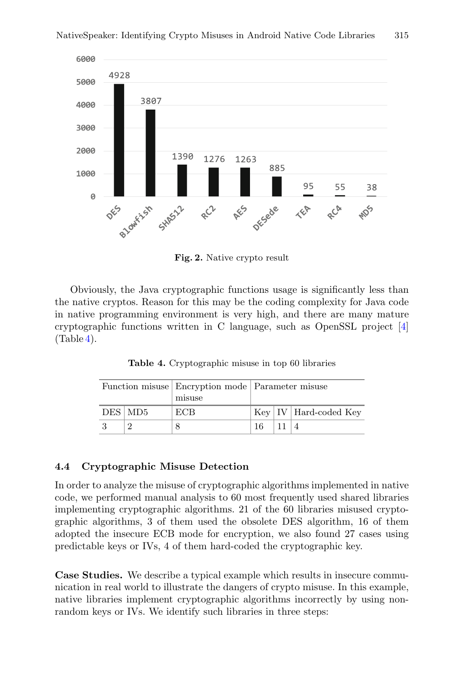

<span id="page-14-0"></span>**Fig. 2.** Native crypto result

Obviously, the Java cryptographic functions usage is significantly less than the native cryptos. Reason for this may be the coding complexity for Java code in native programming environment is very high, and there are many mature cryptographic functions written in C language, such as OpenSSL project [\[4\]](#page-18-12)  $(Table 4).$  $(Table 4).$  $(Table 4).$ 

<span id="page-14-1"></span>**Table 4.** Cryptographic misuse in top 60 libraries

|         | misuse | Function misuse Encryption mode   Parameter misuse |  |                           |
|---------|--------|----------------------------------------------------|--|---------------------------|
| DES MD5 | ECB    |                                                    |  | Key   IV   Hard-coded Key |
|         |        | 16                                                 |  |                           |

### **4.4 Cryptographic Misuse Detection**

In order to analyze the misuse of cryptographic algorithms implemented in native code, we performed manual analysis to 60 most frequently used shared libraries implementing cryptographic algorithms. 21 of the 60 libraries misused cryptographic algorithms, 3 of them used the obsolete DES algorithm, 16 of them adopted the insecure ECB mode for encryption, we also found 27 cases using predictable keys or IVs, 4 of them hard-coded the cryptographic key.

**Case Studies.** We describe a typical example which results in insecure communication in real world to illustrate the dangers of crypto misuse. In this example, native libraries implement cryptographic algorithms incorrectly by using nonrandom keys or IVs. We identify such libraries in three steps: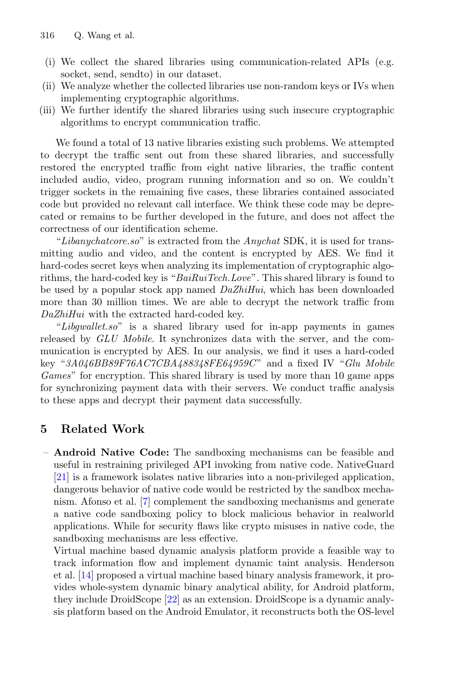- (i) We collect the shared libraries using communication-related APIs (e.g. socket, send, sendto) in our dataset.
- (ii) We analyze whether the collected libraries use non-random keys or IVs when implementing cryptographic algorithms.
- (iii) We further identify the shared libraries using such insecure cryptographic algorithms to encrypt communication traffic.

We found a total of 13 native libraries existing such problems. We attempted to decrypt the traffic sent out from these shared libraries, and successfully restored the encrypted traffic from eight native libraries, the traffic content included audio, video, program running information and so on. We couldn't trigger sockets in the remaining five cases, these libraries contained associated code but provided no relevant call interface. We think these code may be deprecated or remains to be further developed in the future, and does not affect the correctness of our identification scheme.

"*Libanychatcore.so*" is extracted from the *Anychat* SDK, it is used for transmitting audio and video, and the content is encrypted by AES. We find it hard-codes secret keys when analyzing its implementation of cryptographic algorithms, the hard-coded key is "*BaiRuiTech.Love*". This shared library is found to be used by a popular stock app named *DaZhiHui*, which has been downloaded more than 30 million times. We are able to decrypt the network traffic from *DaZhiHui* with the extracted hard-coded key.

"*Libgwallet.so*" is a shared library used for in-app payments in games released by *GLU Mobile*. It synchronizes data with the server, and the communication is encrypted by AES. In our analysis, we find it uses a hard-coded key "*3A046BB89F76AC7CBA488348FE64959C* " and a fixed IV "*Glu Mobile Games*" for encryption. This shared library is used by more than 10 game apps for synchronizing payment data with their servers. We conduct traffic analysis to these apps and decrypt their payment data successfully.

### **5 Related Work**

– **Android Native Code:** The sandboxing mechanisms can be feasible and useful in restraining privileged API invoking from native code. NativeGuard [\[21](#page-19-4)] is a framework isolates native libraries into a non-privileged application, dangerous behavior of native code would be restricted by the sandbox mechanism. Afonso et al. [\[7](#page-18-4)] complement the sandboxing mechanisms and generate a native code sandboxing policy to block malicious behavior in realworld applications. While for security flaws like crypto misuses in native code, the sandboxing mechanisms are less effective.

Virtual machine based dynamic analysis platform provide a feasible way to track information flow and implement dynamic taint analysis. Henderson et al. [\[14\]](#page-18-3) proposed a virtual machine based binary analysis framework, it provides whole-system dynamic binary analytical ability, for Android platform, they include DroidScope [\[22](#page-19-2)] as an extension. DroidScope is a dynamic analysis platform based on the Android Emulator, it reconstructs both the OS-level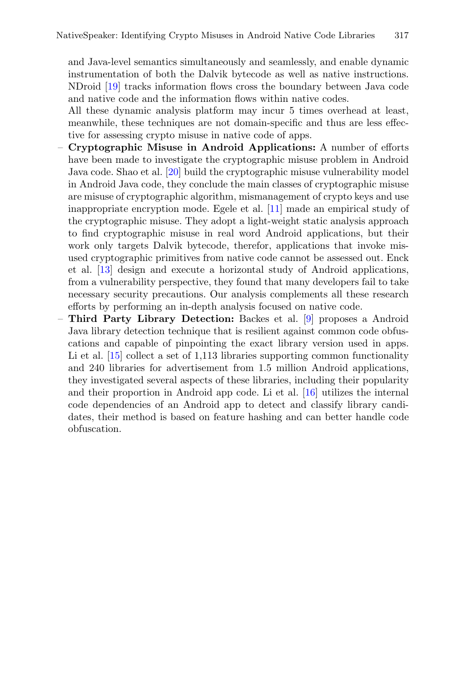and Java-level semantics simultaneously and seamlessly, and enable dynamic instrumentation of both the Dalvik bytecode as well as native instructions. NDroid [\[19](#page-19-1)] tracks information flows cross the boundary between Java code and native code and the information flows within native codes.

All these dynamic analysis platform may incur 5 times overhead at least, meanwhile, these techniques are not domain-specific and thus are less effective for assessing crypto misuse in native code of apps.

- **Cryptographic Misuse in Android Applications:** A number of efforts have been made to investigate the cryptographic misuse problem in Android Java code. Shao et al. [\[20](#page-19-0)] build the cryptographic misuse vulnerability model in Android Java code, they conclude the main classes of cryptographic misuse are misuse of cryptographic algorithm, mismanagement of crypto keys and use inappropriate encryption mode. Egele et al. [\[11](#page-18-13)] made an empirical study of the cryptographic misuse. They adopt a light-weight static analysis approach to find cryptographic misuse in real word Android applications, but their work only targets Dalvik bytecode, therefor, applications that invoke misused cryptographic primitives from native code cannot be assessed out. Enck et al. [\[13](#page-18-14)] design and execute a horizontal study of Android applications, from a vulnerability perspective, they found that many developers fail to take necessary security precautions. Our analysis complements all these research efforts by performing an in-depth analysis focused on native code.
- **Third Party Library Detection:** Backes et al. [\[9](#page-18-15)] proposes a Android Java library detection technique that is resilient against common code obfuscations and capable of pinpointing the exact library version used in apps. Li et al. [\[15](#page-18-16)] collect a set of 1,113 libraries supporting common functionality and 240 libraries for advertisement from 1.5 million Android applications, they investigated several aspects of these libraries, including their popularity and their proportion in Android app code. Li et al. [\[16](#page-18-7)] utilizes the internal code dependencies of an Android app to detect and classify library candidates, their method is based on feature hashing and can better handle code obfuscation.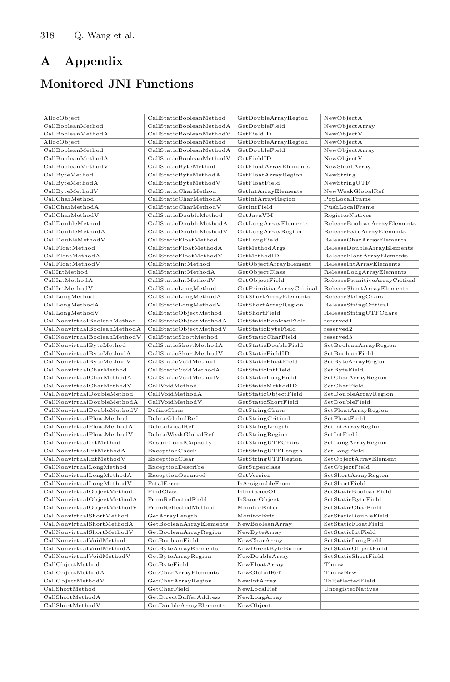# <span id="page-17-0"></span>**A Appendix**

# **Monitored JNI Functions**

| AllocObject                       | CallStaticBooleanMethod                                                                                                                                                 | GetDoubleArrayRegion         | NewObjectA                                    |
|-----------------------------------|-------------------------------------------------------------------------------------------------------------------------------------------------------------------------|------------------------------|-----------------------------------------------|
| CallBooleanMethod                 | CallStaticBooleanMethodA                                                                                                                                                | GetDoubleField               | NewObjectArray                                |
|                                   | CallStaticBooleanMethodV                                                                                                                                                | GetFieldID                   |                                               |
| CallBooleanMethodA                |                                                                                                                                                                         |                              | NewObjectV                                    |
| AllocObject                       | CallStaticBooleanMethod                                                                                                                                                 | GetDoubleArrayRegion         | NewObjectA                                    |
| CallBooleanMethod                 | CallStaticBooleanMethodA                                                                                                                                                | GetDoubleField               | NewObjectArray                                |
| CallBooleanMethodA                | CallStaticBooleanMethodV                                                                                                                                                | GetFieldID                   | NewObjectV                                    |
| CallBooleanMethodV                | CallStaticByteMethod                                                                                                                                                    | GetFloatArrayElements        | NewShortArray                                 |
| CallByteMethod                    | CallStaticByteMethodA                                                                                                                                                   | GetFloatArrayRegion          | NewString                                     |
| CallByteMethodA                   | CallStaticByteMethodV                                                                                                                                                   | GetFloatField                | NewStringUTF                                  |
| CallByteMethodV                   | $\rm Call Static CharMethod$                                                                                                                                            | GetIntArrayElements          | ${\bf New Weak Global Ref}$                   |
| CallCharMethod                    | CallStaticCharMethodA                                                                                                                                                   | GetIntArrayRegion            | PopLocalFrame                                 |
| CallCharMethodA                   | CallStaticCharMethodV                                                                                                                                                   | GetIntField                  | PushLocalFrame                                |
| CallCharMethodV                   | CallStaticDoubleMethod                                                                                                                                                  | GetJavaVM                    | RegisterNatives                               |
| CallDoubleMethod                  | CallStaticDoubleMethodA                                                                                                                                                 | GetLongArrayElements         | ReleaseBooleanArrayElements                   |
| CallDoubleMethodA                 | CallStaticDoubleMethodV                                                                                                                                                 | GetLongArrayRegion           | ReleaseByteArrayElements                      |
| CallDoubleMethodV                 | CallStaticFloatMethod                                                                                                                                                   | GetLongField                 | ReleaseCharArrayElements                      |
| CallFloatMethod                   | CallStaticFloatMethodA                                                                                                                                                  | GetMethodArgs                | ReleaseDoubleArrayElements                    |
| CallFloatMethodA                  | CallStaticFloatMethodV                                                                                                                                                  | GetMethodID                  |                                               |
|                                   |                                                                                                                                                                         |                              | ReleaseFloatArrayElements                     |
| CallFloatMethodV                  | CallStaticIntMethod                                                                                                                                                     | GetObjectArrayElement        | ReleaseIntArrayElements                       |
| CallIntMethod                     | CallStaticIntMethodA                                                                                                                                                    | GetObjectClass               | ReleaseLongArrayElements                      |
| CallIntMethodA                    | CallStaticIntMethodV                                                                                                                                                    | GetObjectField               | ReleasePrimitiveArrayCritical                 |
| CallIntMethodV                    | CallStaticLongMethod                                                                                                                                                    | GetPrimitiveArrayCritical    | ReleaseShortArrayElements                     |
| CallLongMethod                    | CallStaticLongMethodA                                                                                                                                                   | GetShortArrayElements        | ReleaseStringChars                            |
| CallLongMethodA                   | CallStaticLongMethodV                                                                                                                                                   | GetShortArrayRegion          | ReleaseStringCritical                         |
| CallLongMethodV                   | CallStaticObjectMethod                                                                                                                                                  | GetShortField                | ReleaseStringUTFChars                         |
| CallNonvirtualBooleanMethod       | CallStaticObjectMethodA                                                                                                                                                 | GetStaticBooleanField        | reserved1                                     |
| CallNonvirtualBooleanMethodA      | CallStaticObjectMethodV                                                                                                                                                 | GetStaticByteField           | reserved2                                     |
| CallNonvirtualBooleanMethodV      | CallStaticShortMethod                                                                                                                                                   | GetStaticCharField           | reserved3                                     |
| CallNonvirtualByteMethod          | CallStaticShortMethodA                                                                                                                                                  | ${\tt GetStaticDoubleField}$ | SetBooleanArrayRegion                         |
| CallNonvirtualByteMethodA         | CallStaticShortMethodV                                                                                                                                                  | GetStaticFieldID             | SetBooleanField                               |
| CallNonvirtualByteMethodV         | CallStaticVoidMethod                                                                                                                                                    | GetStaticFloatField          | SetByteArrayRegion                            |
| CallNonvirtualCharMethod          | CallStaticVoidMethodA                                                                                                                                                   | GetStaticIntField            | SetByteField                                  |
| CallNonvirtualCharMethodA         | CallStaticVoidMethodV                                                                                                                                                   | GetStaticLongField           | SetCharArrayRegion                            |
| CallNonvirtualCharMethodV         | CallVoidMethod                                                                                                                                                          | GetStaticMethodID            | SetCharField                                  |
|                                   | CallVoidMethodA                                                                                                                                                         |                              |                                               |
| CallNonvirtualDoubleMethod        |                                                                                                                                                                         | GetStaticObjectField         | SetDoubleArrayRegion                          |
| CallNonvirtualDoubleMethodA       | CallVoidMethodV                                                                                                                                                         | GetStaticShortField          | SetDoubleField                                |
| CallNonvirtualDoubleMethodV       | DefineClass                                                                                                                                                             | GetStringChars               | SetFloatArrayRegion                           |
| CallNonvirtualFloatMethod         | DeleteGlobalRef                                                                                                                                                         | GetStringCritical            | SetFloatField                                 |
| $Call Non virtual Float Method A$ | DeleteLocalRef                                                                                                                                                          | GetStringLength              | SetIntArrayRegion                             |
| CallNonvirtualFloatMethodV        | DeleteWeakGlobalRef                                                                                                                                                     | GetStringRegion              | SetIntField                                   |
| CallNonvirtualIntMethod           | EnsureLocalCapacity                                                                                                                                                     | GetStringUTFChars            | SetLongArrayRegion                            |
| CallNonvirtualIntMethodA          | ExceptionCheck                                                                                                                                                          | GetStringUTFLength           | SetLongField                                  |
| CallNonvirtualIntMethodV          | ExceptionClear                                                                                                                                                          | GetStringUTFRegion           | SetObjectArrayElement                         |
| CallNonvirtualLongMethod          | ExceptionDescribe                                                                                                                                                       | GetSuperclass                | SetObjectField                                |
| CallNonvirtualLongMethodA         | <b>ExceptionOccurred</b>                                                                                                                                                | GetVersion                   | $\operatorname{\mathsf{SetShortArrayRegion}}$ |
| CallNonvirtualLongMethodV         | FatalError                                                                                                                                                              | IsAssignableFrom             | SetShortField                                 |
| CallNonvirtualObjectMethod        | FindClass                                                                                                                                                               | IsInstanceOf                 | SetStaticBooleanField                         |
| CallNonvirtualObjectMethodA       | FromReflectedField                                                                                                                                                      | IsSameObject                 | SetStaticByteField                            |
| CallNonvirtualObjectMethodV       | $From Reflected Method% \[ \operatorname*{R}\left( \mathcal{A}\right) =\operatorname*{R}\left( \mathcal{A}\right) \] for $\mathcal{A}$ and $\mathcal{A}$ are the same.$ | MonitorEnter                 | SetStaticCharField                            |
| CallNonvirtualShortMethod         | GetArrayLength                                                                                                                                                          | MonitorExit                  | SetStaticDoubleField                          |
| CallNonvirtualShortMethodA        | GetBooleanArrayElements                                                                                                                                                 | NewBooleanArray              | SetStaticFloatField                           |
| CallNonvirtualShortMethodV        | GetBooleanArrayRegion                                                                                                                                                   | NewByteArray                 | SetStaticIntField                             |
|                                   |                                                                                                                                                                         |                              |                                               |
| CallNonvirtualVoidMethod          | GetBooleanField                                                                                                                                                         | NewCharArray                 | SetStaticLongField                            |
| CallNonvirtualVoidMethodA         | GetByteArrayElements                                                                                                                                                    | NewDirectByteBuffer          | SetStaticObjectField                          |
| CallNonvirtualVoidMethodV         | GetByteArrayRegion                                                                                                                                                      | NewDoubleArray               | SetStaticShortField                           |
| CallObjectMethod                  | GetByteField                                                                                                                                                            | NewFloatArray                | Throw                                         |
| CallObjectMethodA                 | GetCharArrayElements                                                                                                                                                    | NewGlobalRef                 | ThrowNew                                      |
| CallObjectMethodV                 | GetCharArrayRegion                                                                                                                                                      | NewIntArray                  | ToReflectedField                              |
| CallShortMethod                   | GetCharField                                                                                                                                                            | NewLocalRef                  | UnregisterNatives                             |
| CallShortMethodA                  | GetDirectBufferAddress                                                                                                                                                  | NewLongArray                 |                                               |
| CallShortMethodV                  | GetDoubleArrayElements                                                                                                                                                  | NewObject                    |                                               |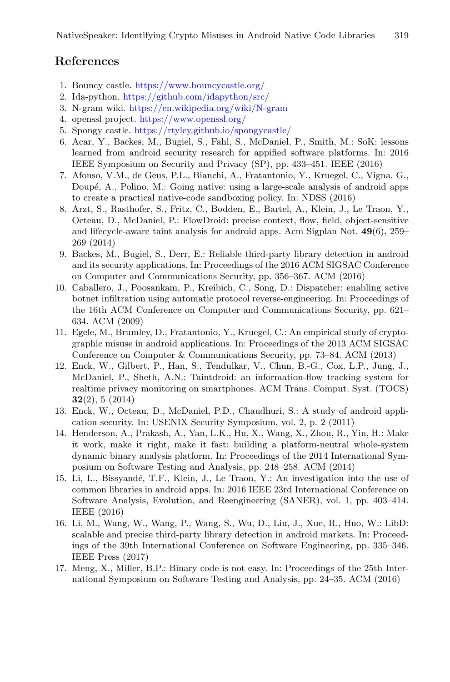## **References**

- <span id="page-18-10"></span>1. Bouncy castle. <https://www.bouncycastle.org/>
- <span id="page-18-9"></span>2. Ida-python. <https://github.com/idapython/src/>
- <span id="page-18-6"></span>3. N-gram wiki. <https://en.wikipedia.org/wiki/N-gram>
- <span id="page-18-12"></span>4. openssl project. <https://www.openssl.org/>
- <span id="page-18-11"></span>5. Spongy castle. <https://rtyley.github.io/spongycastle/>
- <span id="page-18-0"></span>6. Acar, Y., Backes, M., Bugiel, S., Fahl, S., McDaniel, P., Smith, M.: SoK: lessons learned from android security research for appified software platforms. In: 2016 IEEE Symposium on Security and Privacy (SP), pp. 433–451. IEEE (2016)
- <span id="page-18-4"></span>7. Afonso, V.M., de Geus, P.L., Bianchi, A., Fratantonio, Y., Kruegel, C., Vigna, G., Doupé, A., Polino, M.: Going native: using a large-scale analysis of android apps to create a practical native-code sandboxing policy. In: NDSS (2016)
- <span id="page-18-1"></span>8. Arzt, S., Rasthofer, S., Fritz, C., Bodden, E., Bartel, A., Klein, J., Le Traon, Y., Octeau, D., McDaniel, P.: FlowDroid: precise context, flow, field, object-sensitive and lifecycle-aware taint analysis for android apps. Acm Sigplan Not. **49**(6), 259– 269 (2014)
- <span id="page-18-15"></span>9. Backes, M., Bugiel, S., Derr, E.: Reliable third-party library detection in android and its security applications. In: Proceedings of the 2016 ACM SIGSAC Conference on Computer and Communications Security, pp. 356–367. ACM (2016)
- <span id="page-18-8"></span>10. Caballero, J., Poosankam, P., Kreibich, C., Song, D.: Dispatcher: enabling active botnet infiltration using automatic protocol reverse-engineering. In: Proceedings of the 16th ACM Conference on Computer and Communications Security, pp. 621– 634. ACM (2009)
- <span id="page-18-13"></span>11. Egele, M., Brumley, D., Fratantonio, Y., Kruegel, C.: An empirical study of cryptographic misuse in android applications. In: Proceedings of the 2013 ACM SIGSAC Conference on Computer & Communications Security, pp. 73–84. ACM (2013)
- <span id="page-18-2"></span>12. Enck, W., Gilbert, P., Han, S., Tendulkar, V., Chun, B.-G., Cox, L.P., Jung, J., McDaniel, P., Sheth, A.N.: Taintdroid: an information-flow tracking system for realtime privacy monitoring on smartphones. ACM Trans. Comput. Syst. (TOCS) **32**(2), 5 (2014)
- <span id="page-18-14"></span>13. Enck, W., Octeau, D., McDaniel, P.D., Chaudhuri, S.: A study of android application security. In: USENIX Security Symposium, vol. 2, p. 2 (2011)
- <span id="page-18-3"></span>14. Henderson, A., Prakash, A., Yan, L.K., Hu, X., Wang, X., Zhou, R., Yin, H.: Make it work, make it right, make it fast: building a platform-neutral whole-system dynamic binary analysis platform. In: Proceedings of the 2014 International Symposium on Software Testing and Analysis, pp. 248–258. ACM (2014)
- <span id="page-18-16"></span>15. Li, L., Bissyandé, T.F., Klein, J., Le Traon, Y.: An investigation into the use of common libraries in android apps. In: 2016 IEEE 23rd International Conference on Software Analysis, Evolution, and Reengineering (SANER), vol. 1, pp. 403–414. IEEE (2016)
- <span id="page-18-7"></span>16. Li, M., Wang, W., Wang, P., Wang, S., Wu, D., Liu, J., Xue, R., Huo, W.: LibD: scalable and precise third-party library detection in android markets. In: Proceedings of the 39th International Conference on Software Engineering, pp. 335–346. IEEE Press (2017)
- <span id="page-18-5"></span>17. Meng, X., Miller, B.P.: Binary code is not easy. In: Proceedings of the 25th International Symposium on Software Testing and Analysis, pp. 24–35. ACM (2016)